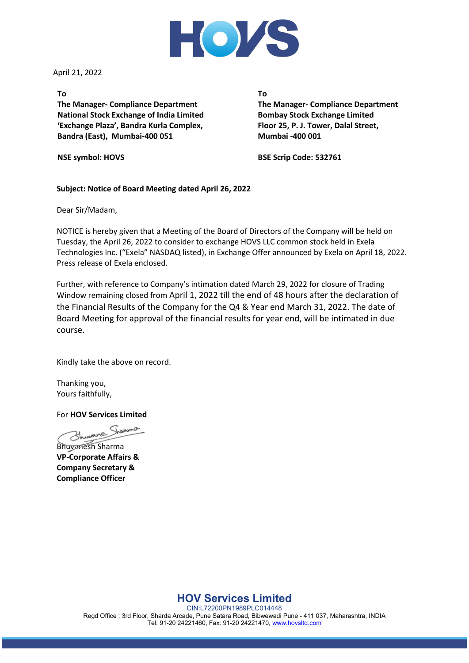

April 21, 2022

### **To**

**The Manager- Compliance Department National Stock Exchange of India Limited 'Exchange Plaza', Bandra Kurla Complex, Bandra (East), Mumbai-400 051**

**NSE symbol: HOVS**

**To**

**The Manager- Compliance Department Bombay Stock Exchange Limited Floor 25, P. J. Tower, Dalal Street, Mumbai -400 001**

**BSE Scrip Code: 532761**

## **Subject: Notice of Board Meeting dated April 26, 2022**

Dear Sir/Madam,

NOTICE is hereby given that a Meeting of the Board of Directors of the Company will be held on Tuesday, the April 26, 2022 to consider to exchange HOVS LLC common stock held in Exela Technologies Inc. ("Exela" NASDAQ listed), in Exchange Offer announced by Exela on April 18, 2022. Press release of Exela enclosed.

Further, with reference to Company's intimation dated March 29, 2022 for closure of Trading Window remaining closed from April 1, 2022 till the end of 48 hours after the declaration of the Financial Results of the Company for the Q4 & Year end March 31, 2022. The date of Board Meeting for approval of the financial results for year end, will be intimated in due course.

Kindly take the above on record.

Thanking you, Yours faithfully,

For **HOV Services Limited**

Bhuvanesh Sharma **VP-Corporate Affairs & Company Secretary & Compliance Officer**

**HOV Services Limited**

CIN:L72200PN1989PLC014448 Regd Office : 3rd Floor, Sharda Arcade, Pune Satara Road, Bibwewadi Pune - 411 037, Maharashtra, INDIA Tel: 91-20 24221460, Fax: 91-20 24221470, [www.hovsltd.com](http://www.hovsltd.com/)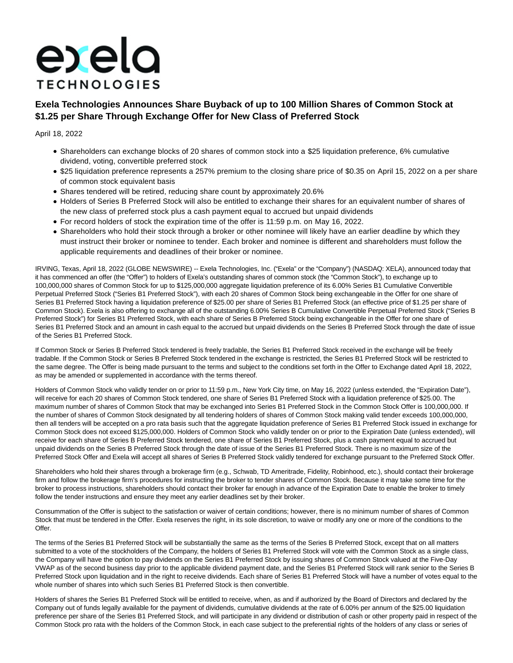# exela **TECHNOLOGIES**

## **Exela Technologies Announces Share Buyback of up to 100 Million Shares of Common Stock at \$1.25 per Share Through Exchange Offer for New Class of Preferred Stock**

April 18, 2022

- Shareholders can exchange blocks of 20 shares of common stock into a \$25 liquidation preference, 6% cumulative dividend, voting, convertible preferred stock
- \$25 liquidation preference represents a 257% premium to the closing share price of \$0.35 on April 15, 2022 on a per share of common stock equivalent basis
- Shares tendered will be retired, reducing share count by approximately 20.6%
- Holders of Series B Preferred Stock will also be entitled to exchange their shares for an equivalent number of shares of the new class of preferred stock plus a cash payment equal to accrued but unpaid dividends
- For record holders of stock the expiration time of the offer is 11:59 p.m. on May 16, 2022.
- Shareholders who hold their stock through a broker or other nominee will likely have an earlier deadline by which they must instruct their broker or nominee to tender. Each broker and nominee is different and shareholders must follow the applicable requirements and deadlines of their broker or nominee.

IRVING, Texas, April 18, 2022 (GLOBE NEWSWIRE) -- Exela Technologies, Inc. ("Exela" or the "Company") (NASDAQ: XELA), announced today that it has commenced an offer (the "Offer") to holders of Exela's outstanding shares of common stock (the "Common Stock"), to exchange up to 100,000,000 shares of Common Stock for up to \$125,000,000 aggregate liquidation preference of its 6.00% Series B1 Cumulative Convertible Perpetual Preferred Stock ("Series B1 Preferred Stock"), with each 20 shares of Common Stock being exchangeable in the Offer for one share of Series B1 Preferred Stock having a liquidation preference of \$25.00 per share of Series B1 Preferred Stock (an effective price of \$1.25 per share of Common Stock). Exela is also offering to exchange all of the outstanding 6.00% Series B Cumulative Convertible Perpetual Preferred Stock ("Series B Preferred Stock") for Series B1 Preferred Stock, with each share of Series B Preferred Stock being exchangeable in the Offer for one share of Series B1 Preferred Stock and an amount in cash equal to the accrued but unpaid dividends on the Series B Preferred Stock through the date of issue of the Series B1 Preferred Stock.

If Common Stock or Series B Preferred Stock tendered is freely tradable, the Series B1 Preferred Stock received in the exchange will be freely tradable. If the Common Stock or Series B Preferred Stock tendered in the exchange is restricted, the Series B1 Preferred Stock will be restricted to the same degree. The Offer is being made pursuant to the terms and subject to the conditions set forth in the Offer to Exchange dated April 18, 2022, as may be amended or supplemented in accordance with the terms thereof.

Holders of Common Stock who validly tender on or prior to 11:59 p.m., New York City time, on May 16, 2022 (unless extended, the "Expiration Date"), will receive for each 20 shares of Common Stock tendered, one share of Series B1 Preferred Stock with a liquidation preference of \$25.00. The maximum number of shares of Common Stock that may be exchanged into Series B1 Preferred Stock in the Common Stock Offer is 100,000,000. If the number of shares of Common Stock designated by all tendering holders of shares of Common Stock making valid tender exceeds 100,000,000, then all tenders will be accepted on a pro rata basis such that the aggregate liquidation preference of Series B1 Preferred Stock issued in exchange for Common Stock does not exceed \$125,000,000. Holders of Common Stock who validly tender on or prior to the Expiration Date (unless extended), will receive for each share of Series B Preferred Stock tendered, one share of Series B1 Preferred Stock, plus a cash payment equal to accrued but unpaid dividends on the Series B Preferred Stock through the date of issue of the Series B1 Preferred Stock. There is no maximum size of the Preferred Stock Offer and Exela will accept all shares of Series B Preferred Stock validly tendered for exchange pursuant to the Preferred Stock Offer.

Shareholders who hold their shares through a brokerage firm (e.g., Schwab, TD Ameritrade, Fidelity, Robinhood, etc.), should contact their brokerage firm and follow the brokerage firm's procedures for instructing the broker to tender shares of Common Stock. Because it may take some time for the broker to process instructions, shareholders should contact their broker far enough in advance of the Expiration Date to enable the broker to timely follow the tender instructions and ensure they meet any earlier deadlines set by their broker.

Consummation of the Offer is subject to the satisfaction or waiver of certain conditions; however, there is no minimum number of shares of Common Stock that must be tendered in the Offer. Exela reserves the right, in its sole discretion, to waive or modify any one or more of the conditions to the Offer.

The terms of the Series B1 Preferred Stock will be substantially the same as the terms of the Series B Preferred Stock, except that on all matters submitted to a vote of the stockholders of the Company, the holders of Series B1 Preferred Stock will vote with the Common Stock as a single class, the Company will have the option to pay dividends on the Series B1 Preferred Stock by issuing shares of Common Stock valued at the Five-Day VWAP as of the second business day prior to the applicable dividend payment date, and the Series B1 Preferred Stock will rank senior to the Series B Preferred Stock upon liquidation and in the right to receive dividends. Each share of Series B1 Preferred Stock will have a number of votes equal to the whole number of shares into which such Series B1 Preferred Stock is then convertible.

Holders of shares the Series B1 Preferred Stock will be entitled to receive, when, as and if authorized by the Board of Directors and declared by the Company out of funds legally available for the payment of dividends, cumulative dividends at the rate of 6.00% per annum of the \$25.00 liquidation preference per share of the Series B1 Preferred Stock, and will participate in any dividend or distribution of cash or other property paid in respect of the Common Stock pro rata with the holders of the Common Stock, in each case subject to the preferential rights of the holders of any class or series of